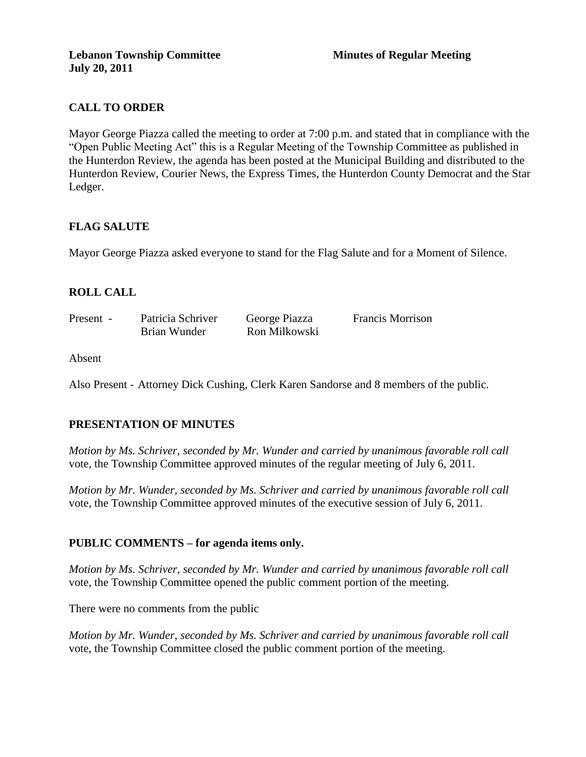# **CALL TO ORDER**

Mayor George Piazza called the meeting to order at 7:00 p.m. and stated that in compliance with the "Open Public Meeting Act" this is a Regular Meeting of the Township Committee as published in the Hunterdon Review, the agenda has been posted at the Municipal Building and distributed to the Hunterdon Review, Courier News, the Express Times, the Hunterdon County Democrat and the Star Ledger.

## **FLAG SALUTE**

Mayor George Piazza asked everyone to stand for the Flag Salute and for a Moment of Silence.

# **ROLL CALL**

| Present - | Patricia Schriver | George Piazza | <b>Francis Morrison</b> |
|-----------|-------------------|---------------|-------------------------|
|           | Brian Wunder      | Ron Milkowski |                         |

Absent

Also Present - Attorney Dick Cushing, Clerk Karen Sandorse and 8 members of the public.

# **PRESENTATION OF MINUTES**

*Motion by Ms. Schriver, seconded by Mr. Wunder and carried by unanimous favorable roll call*  vote, the Township Committee approved minutes of the regular meeting of July 6, 2011.

*Motion by Mr. Wunder, seconded by Ms. Schriver and carried by unanimous favorable roll call*  vote, the Township Committee approved minutes of the executive session of July 6, 2011.

#### **PUBLIC COMMENTS – for agenda items only.**

*Motion by Ms. Schriver, seconded by Mr. Wunder and carried by unanimous favorable roll call*  vote, the Township Committee opened the public comment portion of the meeting.

There were no comments from the public

*Motion by Mr. Wunder, seconded by Ms. Schriver and carried by unanimous favorable roll call*  vote, the Township Committee closed the public comment portion of the meeting.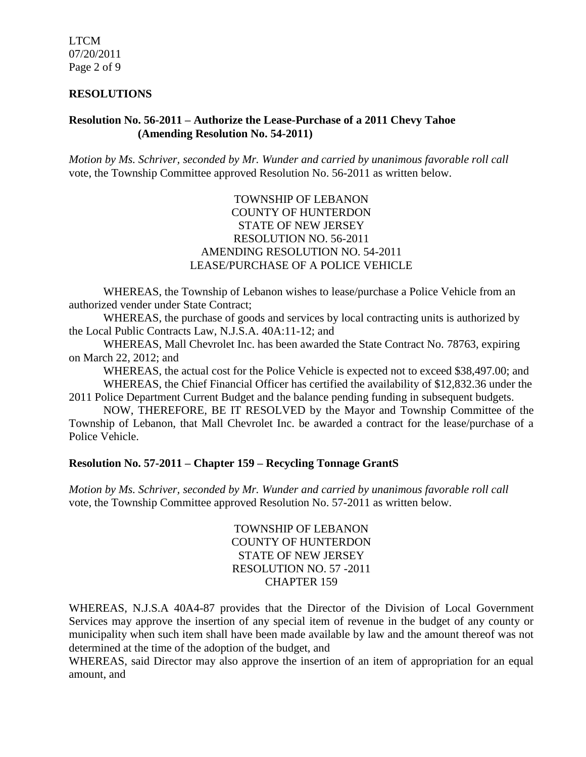LTCM 07/20/2011 Page 2 of 9

#### **RESOLUTIONS**

### **Resolution No. 56-2011 – Authorize the Lease-Purchase of a 2011 Chevy Tahoe (Amending Resolution No. 54-2011)**

*Motion by Ms. Schriver, seconded by Mr. Wunder and carried by unanimous favorable roll call*  vote, the Township Committee approved Resolution No. 56-2011 as written below.

## TOWNSHIP OF LEBANON COUNTY OF HUNTERDON STATE OF NEW JERSEY RESOLUTION NO. 56-2011 AMENDING RESOLUTION NO. 54-2011 LEASE/PURCHASE OF A POLICE VEHICLE

WHEREAS, the Township of Lebanon wishes to lease/purchase a Police Vehicle from an authorized vender under State Contract;

WHEREAS, the purchase of goods and services by local contracting units is authorized by the Local Public Contracts Law, N.J.S.A. 40A:11-12; and

WHEREAS, Mall Chevrolet Inc. has been awarded the State Contract No. 78763, expiring on March 22, 2012; and

WHEREAS, the actual cost for the Police Vehicle is expected not to exceed \$38,497.00; and

WHEREAS, the Chief Financial Officer has certified the availability of \$12,832.36 under the 2011 Police Department Current Budget and the balance pending funding in subsequent budgets.

NOW, THEREFORE, BE IT RESOLVED by the Mayor and Township Committee of the Township of Lebanon, that Mall Chevrolet Inc. be awarded a contract for the lease/purchase of a Police Vehicle.

## **Resolution No. 57-2011 – Chapter 159 – Recycling Tonnage GrantS**

*Motion by Ms. Schriver, seconded by Mr. Wunder and carried by unanimous favorable roll call*  vote, the Township Committee approved Resolution No. 57-2011 as written below.

> TOWNSHIP OF LEBANON COUNTY OF HUNTERDON STATE OF NEW JERSEY RESOLUTION NO. 57 -2011 CHAPTER 159

WHEREAS, N.J.S.A 40A4-87 provides that the Director of the Division of Local Government Services may approve the insertion of any special item of revenue in the budget of any county or municipality when such item shall have been made available by law and the amount thereof was not determined at the time of the adoption of the budget, and

WHEREAS, said Director may also approve the insertion of an item of appropriation for an equal amount, and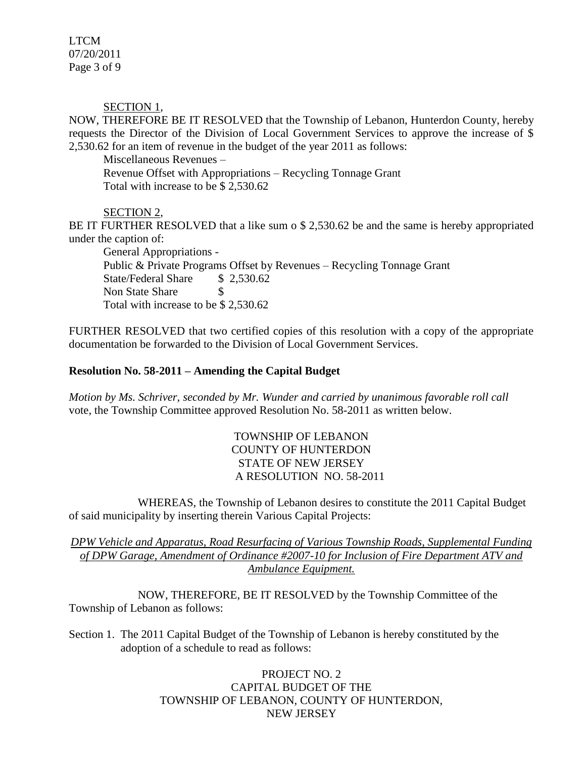LTCM 07/20/2011 Page 3 of 9

SECTION 1,

NOW, THEREFORE BE IT RESOLVED that the Township of Lebanon, Hunterdon County, hereby requests the Director of the Division of Local Government Services to approve the increase of \$ 2,530.62 for an item of revenue in the budget of the year 2011 as follows:

Miscellaneous Revenues –

Revenue Offset with Appropriations – Recycling Tonnage Grant Total with increase to be \$ 2,530.62

## SECTION 2,

BE IT FURTHER RESOLVED that a like sum o \$ 2,530.62 be and the same is hereby appropriated under the caption of:

General Appropriations - Public & Private Programs Offset by Revenues – Recycling Tonnage Grant State/Federal Share \$ 2,530.62 Non State Share \$ Total with increase to be \$ 2,530.62

FURTHER RESOLVED that two certified copies of this resolution with a copy of the appropriate documentation be forwarded to the Division of Local Government Services.

# **Resolution No. 58-2011 – Amending the Capital Budget**

*Motion by Ms. Schriver, seconded by Mr. Wunder and carried by unanimous favorable roll call*  vote, the Township Committee approved Resolution No. 58-2011 as written below.

> TOWNSHIP OF LEBANON COUNTY OF HUNTERDON STATE OF NEW JERSEY A RESOLUTION NO. 58-2011

WHEREAS, the Township of Lebanon desires to constitute the 2011 Capital Budget of said municipality by inserting therein Various Capital Projects:

*DPW Vehicle and Apparatus, Road Resurfacing of Various Township Roads, Supplemental Funding of DPW Garage, Amendment of Ordinance #2007-10 for Inclusion of Fire Department ATV and Ambulance Equipment.*

NOW, THEREFORE, BE IT RESOLVED by the Township Committee of the Township of Lebanon as follows:

Section 1. The 2011 Capital Budget of the Township of Lebanon is hereby constituted by the adoption of a schedule to read as follows:

> PROJECT NO. 2 CAPITAL BUDGET OF THE TOWNSHIP OF LEBANON, COUNTY OF HUNTERDON, NEW JERSEY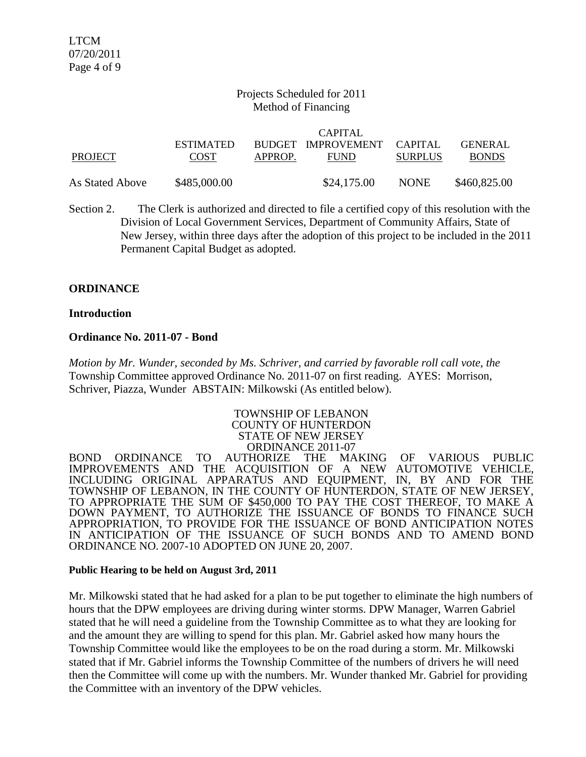#### Projects Scheduled for 2011 Method of Financing

|                 |                  |         | CAPITAL                    |                |                |
|-----------------|------------------|---------|----------------------------|----------------|----------------|
|                 | <b>ESTIMATED</b> |         | BUDGET IMPROVEMENT CAPITAL |                | <b>GENERAL</b> |
| PROJECT         | <b>COST</b>      | APPROP. | <b>FUND</b>                | <b>SURPLUS</b> | <b>BONDS</b>   |
| As Stated Above | \$485,000.00     |         | \$24,175.00                | <b>NONE</b>    | \$460,825.00   |

Section 2. The Clerk is authorized and directed to file a certified copy of this resolution with the Division of Local Government Services, Department of Community Affairs, State of New Jersey, within three days after the adoption of this project to be included in the 2011 Permanent Capital Budget as adopted.

#### **ORDINANCE**

#### **Introduction**

#### **Ordinance No. 2011-07 - Bond**

*Motion by Mr. Wunder, seconded by Ms. Schriver, and carried by favorable roll call vote, the* Township Committee approved Ordinance No. 2011-07 on first reading. AYES: Morrison, Schriver, Piazza, Wunder ABSTAIN: Milkowski (As entitled below).

#### TOWNSHIP OF LEBANON COUNTY OF HUNTERDON STATE OF NEW JERSEY ORDINANCE 2011-07

BOND ORDINANCE TO AUTHORIZE THE MAKING OF VARIOUS PUBLIC IMPROVEMENTS AND THE ACOUISITION OF A NEW AUTOMOTIVE VEHICLE, IMPROVEMENTS AND THE ACQUISITION OF A NEW INCLUDING ORIGINAL APPARATUS AND EQUIPMENT, IN, BY AND FOR THE TOWNSHIP OF LEBANON, IN THE COUNTY OF HUNTERDON, STATE OF NEW JERSEY, TO APPROPRIATE THE SUM OF \$450,000 TO PAY THE COST THEREOF, TO MAKE A DOWN PAYMENT, TO AUTHORIZE THE ISSUANCE OF BONDS TO FINANCE SUCH APPROPRIATION, TO PROVIDE FOR THE ISSUANCE OF BOND ANTICIPATION NOTES IN ANTICIPATION OF THE ISSUANCE OF SUCH BONDS AND TO AMEND BOND ORDINANCE NO. 2007-10 ADOPTED ON JUNE 20, 2007.

#### **Public Hearing to be held on August 3rd, 2011**

Mr. Milkowski stated that he had asked for a plan to be put together to eliminate the high numbers of hours that the DPW employees are driving during winter storms. DPW Manager, Warren Gabriel stated that he will need a guideline from the Township Committee as to what they are looking for and the amount they are willing to spend for this plan. Mr. Gabriel asked how many hours the Township Committee would like the employees to be on the road during a storm. Mr. Milkowski stated that if Mr. Gabriel informs the Township Committee of the numbers of drivers he will need then the Committee will come up with the numbers. Mr. Wunder thanked Mr. Gabriel for providing the Committee with an inventory of the DPW vehicles.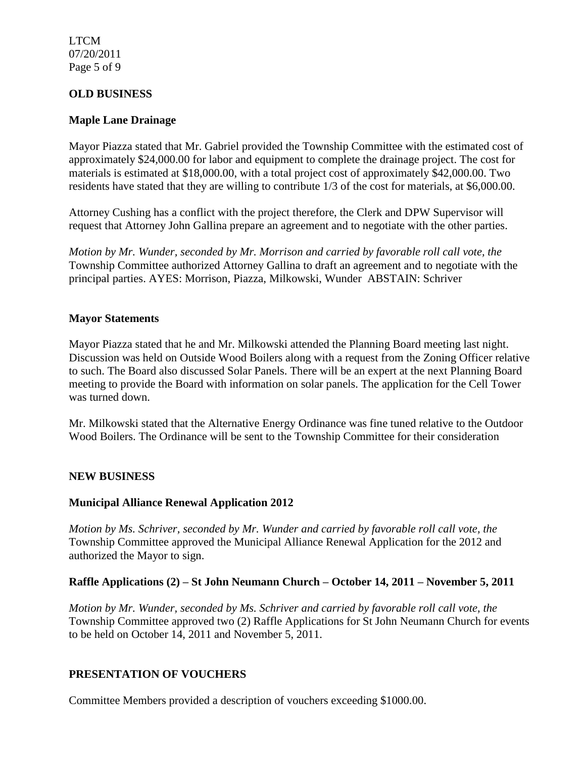LTCM 07/20/2011 Page 5 of 9

## **OLD BUSINESS**

#### **Maple Lane Drainage**

Mayor Piazza stated that Mr. Gabriel provided the Township Committee with the estimated cost of approximately \$24,000.00 for labor and equipment to complete the drainage project. The cost for materials is estimated at \$18,000.00, with a total project cost of approximately \$42,000.00. Two residents have stated that they are willing to contribute 1/3 of the cost for materials, at \$6,000.00.

Attorney Cushing has a conflict with the project therefore, the Clerk and DPW Supervisor will request that Attorney John Gallina prepare an agreement and to negotiate with the other parties.

*Motion by Mr. Wunder, seconded by Mr. Morrison and carried by favorable roll call vote, the* Township Committee authorized Attorney Gallina to draft an agreement and to negotiate with the principal parties. AYES: Morrison, Piazza, Milkowski, Wunder ABSTAIN: Schriver

#### **Mayor Statements**

Mayor Piazza stated that he and Mr. Milkowski attended the Planning Board meeting last night. Discussion was held on Outside Wood Boilers along with a request from the Zoning Officer relative to such. The Board also discussed Solar Panels. There will be an expert at the next Planning Board meeting to provide the Board with information on solar panels. The application for the Cell Tower was turned down.

Mr. Milkowski stated that the Alternative Energy Ordinance was fine tuned relative to the Outdoor Wood Boilers. The Ordinance will be sent to the Township Committee for their consideration

#### **NEW BUSINESS**

#### **Municipal Alliance Renewal Application 2012**

*Motion by Ms. Schriver, seconded by Mr. Wunder and carried by favorable roll call vote, the* Township Committee approved the Municipal Alliance Renewal Application for the 2012 and authorized the Mayor to sign.

#### **Raffle Applications (2) – St John Neumann Church – October 14, 2011 – November 5, 2011**

*Motion by Mr. Wunder, seconded by Ms. Schriver and carried by favorable roll call vote, the* Township Committee approved two (2) Raffle Applications for St John Neumann Church for events to be held on October 14, 2011 and November 5, 2011.

#### **PRESENTATION OF VOUCHERS**

Committee Members provided a description of vouchers exceeding \$1000.00.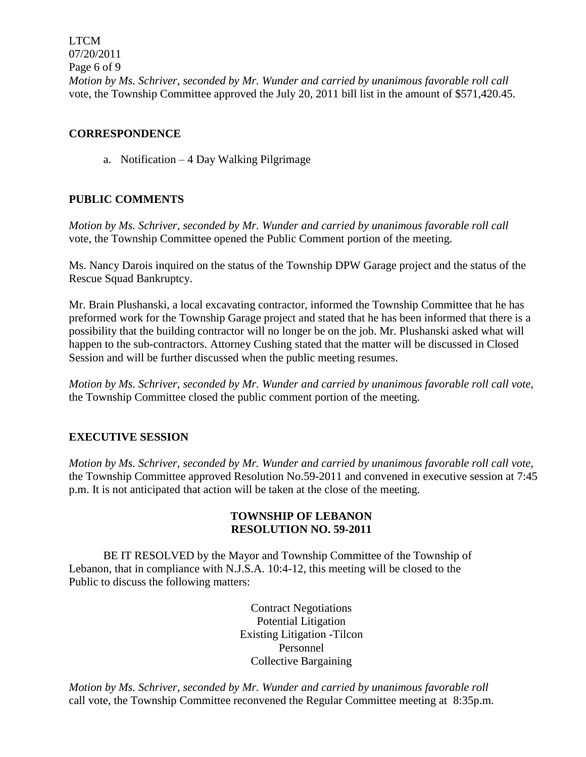LTCM 07/20/2011 Page 6 of 9 *Motion by Ms. Schriver, seconded by Mr. Wunder and carried by unanimous favorable roll call*  vote, the Township Committee approved the July 20, 2011 bill list in the amount of \$571,420.45.

## **CORRESPONDENCE**

a. Notification – 4 Day Walking Pilgrimage

# **PUBLIC COMMENTS**

*Motion by Ms. Schriver, seconded by Mr. Wunder and carried by unanimous favorable roll call*  vote, the Township Committee opened the Public Comment portion of the meeting.

Ms. Nancy Darois inquired on the status of the Township DPW Garage project and the status of the Rescue Squad Bankruptcy.

Mr. Brain Plushanski, a local excavating contractor, informed the Township Committee that he has preformed work for the Township Garage project and stated that he has been informed that there is a possibility that the building contractor will no longer be on the job. Mr. Plushanski asked what will happen to the sub-contractors. Attorney Cushing stated that the matter will be discussed in Closed Session and will be further discussed when the public meeting resumes.

*Motion by Ms. Schriver, seconded by Mr. Wunder and carried by unanimous favorable roll call vote,* the Township Committee closed the public comment portion of the meeting.

# **EXECUTIVE SESSION**

*Motion by Ms. Schriver, seconded by Mr. Wunder and carried by unanimous favorable roll call vote,* the Township Committee approved Resolution No.59-2011 and convened in executive session at 7:45 p.m. It is not anticipated that action will be taken at the close of the meeting.

# **TOWNSHIP OF LEBANON RESOLUTION NO. 59-2011**

BE IT RESOLVED by the Mayor and Township Committee of the Township of Lebanon, that in compliance with N.J.S.A. 10:4-12, this meeting will be closed to the Public to discuss the following matters:

> Contract Negotiations Potential Litigation Existing Litigation -Tilcon Personnel Collective Bargaining

*Motion by Ms. Schriver, seconded by Mr. Wunder and carried by unanimous favorable roll*  call vote, the Township Committee reconvened the Regular Committee meeting at 8:35p.m.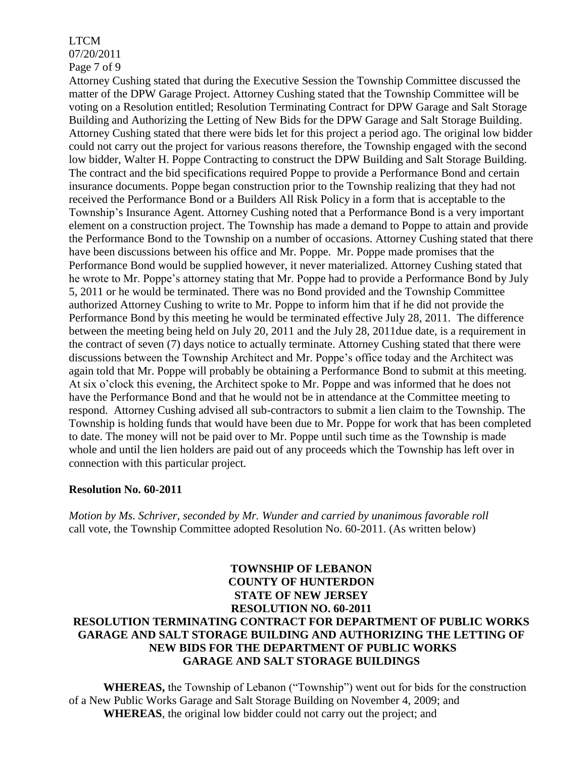# LTCM

07/20/2011

Page 7 of 9

Attorney Cushing stated that during the Executive Session the Township Committee discussed the matter of the DPW Garage Project. Attorney Cushing stated that the Township Committee will be voting on a Resolution entitled; Resolution Terminating Contract for DPW Garage and Salt Storage Building and Authorizing the Letting of New Bids for the DPW Garage and Salt Storage Building. Attorney Cushing stated that there were bids let for this project a period ago. The original low bidder could not carry out the project for various reasons therefore, the Township engaged with the second low bidder, Walter H. Poppe Contracting to construct the DPW Building and Salt Storage Building. The contract and the bid specifications required Poppe to provide a Performance Bond and certain insurance documents. Poppe began construction prior to the Township realizing that they had not received the Performance Bond or a Builders All Risk Policy in a form that is acceptable to the Township's Insurance Agent. Attorney Cushing noted that a Performance Bond is a very important element on a construction project. The Township has made a demand to Poppe to attain and provide the Performance Bond to the Township on a number of occasions. Attorney Cushing stated that there have been discussions between his office and Mr. Poppe. Mr. Poppe made promises that the Performance Bond would be supplied however, it never materialized. Attorney Cushing stated that he wrote to Mr. Poppe's attorney stating that Mr. Poppe had to provide a Performance Bond by July 5, 2011 or he would be terminated. There was no Bond provided and the Township Committee authorized Attorney Cushing to write to Mr. Poppe to inform him that if he did not provide the Performance Bond by this meeting he would be terminated effective July 28, 2011. The difference between the meeting being held on July 20, 2011 and the July 28, 2011due date, is a requirement in the contract of seven (7) days notice to actually terminate. Attorney Cushing stated that there were discussions between the Township Architect and Mr. Poppe's office today and the Architect was again told that Mr. Poppe will probably be obtaining a Performance Bond to submit at this meeting. At six o'clock this evening, the Architect spoke to Mr. Poppe and was informed that he does not have the Performance Bond and that he would not be in attendance at the Committee meeting to respond. Attorney Cushing advised all sub-contractors to submit a lien claim to the Township. The Township is holding funds that would have been due to Mr. Poppe for work that has been completed to date. The money will not be paid over to Mr. Poppe until such time as the Township is made whole and until the lien holders are paid out of any proceeds which the Township has left over in connection with this particular project.

# **Resolution No. 60-2011**

*Motion by Ms. Schriver, seconded by Mr. Wunder and carried by unanimous favorable roll*  call vote, the Township Committee adopted Resolution No. 60-2011. (As written below)

# **TOWNSHIP OF LEBANON COUNTY OF HUNTERDON STATE OF NEW JERSEY RESOLUTION NO. 60-2011 RESOLUTION TERMINATING CONTRACT FOR DEPARTMENT OF PUBLIC WORKS GARAGE AND SALT STORAGE BUILDING AND AUTHORIZING THE LETTING OF NEW BIDS FOR THE DEPARTMENT OF PUBLIC WORKS GARAGE AND SALT STORAGE BUILDINGS**

**WHEREAS,** the Township of Lebanon ("Township") went out for bids for the construction of a New Public Works Garage and Salt Storage Building on November 4, 2009; and **WHEREAS**, the original low bidder could not carry out the project; and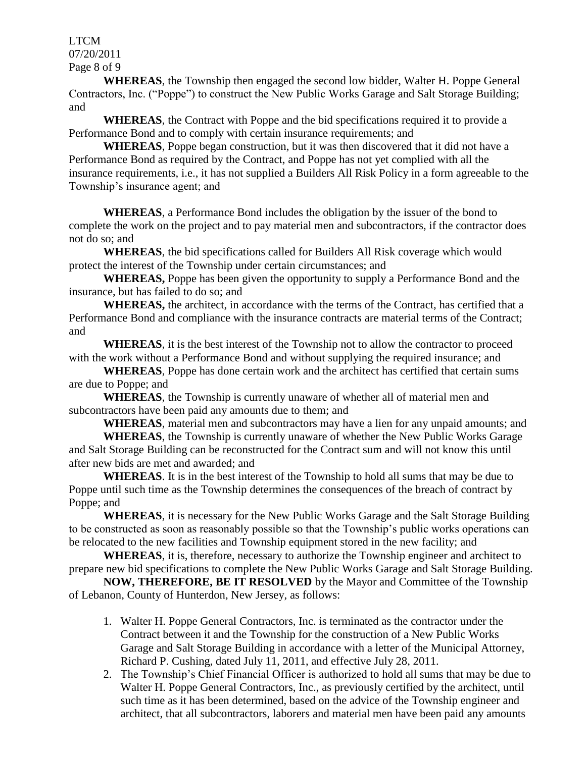LTCM 07/20/2011 Page 8 of 9

**WHEREAS**, the Township then engaged the second low bidder, Walter H. Poppe General Contractors, Inc. ("Poppe") to construct the New Public Works Garage and Salt Storage Building; and

**WHEREAS**, the Contract with Poppe and the bid specifications required it to provide a Performance Bond and to comply with certain insurance requirements; and

**WHEREAS**, Poppe began construction, but it was then discovered that it did not have a Performance Bond as required by the Contract, and Poppe has not yet complied with all the insurance requirements, i.e., it has not supplied a Builders All Risk Policy in a form agreeable to the Township's insurance agent; and

**WHEREAS**, a Performance Bond includes the obligation by the issuer of the bond to complete the work on the project and to pay material men and subcontractors, if the contractor does not do so; and

**WHEREAS**, the bid specifications called for Builders All Risk coverage which would protect the interest of the Township under certain circumstances; and

**WHEREAS,** Poppe has been given the opportunity to supply a Performance Bond and the insurance, but has failed to do so; and

**WHEREAS,** the architect, in accordance with the terms of the Contract, has certified that a Performance Bond and compliance with the insurance contracts are material terms of the Contract; and

**WHEREAS**, it is the best interest of the Township not to allow the contractor to proceed with the work without a Performance Bond and without supplying the required insurance; and

**WHEREAS**, Poppe has done certain work and the architect has certified that certain sums are due to Poppe; and

**WHEREAS**, the Township is currently unaware of whether all of material men and subcontractors have been paid any amounts due to them; and

**WHEREAS**, material men and subcontractors may have a lien for any unpaid amounts; and

**WHEREAS**, the Township is currently unaware of whether the New Public Works Garage and Salt Storage Building can be reconstructed for the Contract sum and will not know this until after new bids are met and awarded; and

**WHEREAS**. It is in the best interest of the Township to hold all sums that may be due to Poppe until such time as the Township determines the consequences of the breach of contract by Poppe; and

**WHEREAS**, it is necessary for the New Public Works Garage and the Salt Storage Building to be constructed as soon as reasonably possible so that the Township's public works operations can be relocated to the new facilities and Township equipment stored in the new facility; and

**WHEREAS**, it is, therefore, necessary to authorize the Township engineer and architect to prepare new bid specifications to complete the New Public Works Garage and Salt Storage Building.

**NOW, THEREFORE, BE IT RESOLVED** by the Mayor and Committee of the Township of Lebanon, County of Hunterdon, New Jersey, as follows:

- 1. Walter H. Poppe General Contractors, Inc. is terminated as the contractor under the Contract between it and the Township for the construction of a New Public Works Garage and Salt Storage Building in accordance with a letter of the Municipal Attorney, Richard P. Cushing, dated July 11, 2011, and effective July 28, 2011.
- 2. The Township's Chief Financial Officer is authorized to hold all sums that may be due to Walter H. Poppe General Contractors, Inc., as previously certified by the architect, until such time as it has been determined, based on the advice of the Township engineer and architect, that all subcontractors, laborers and material men have been paid any amounts